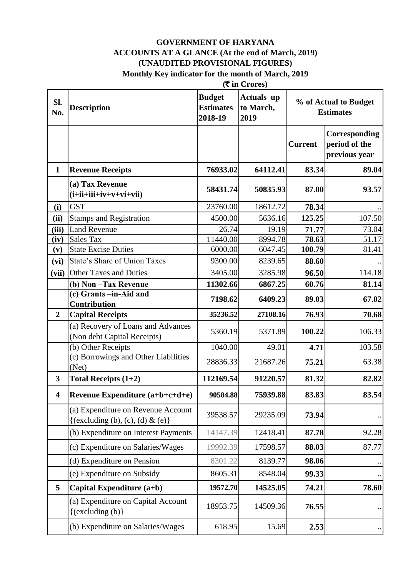#### **GOVERNMENT OF HARYANA ACCOUNTS AT A GLANCE (At the end of March, 2019) (UNAUDITED PROVISIONAL FIGURES) Monthly Key indicator for the month of March, 2019**

|                         | $(\overline{\mathbf{\mathcal{F}}}$ in Crores)                          |                                              |                                        |                |                                                 |
|-------------------------|------------------------------------------------------------------------|----------------------------------------------|----------------------------------------|----------------|-------------------------------------------------|
| Sl.<br>No.              | <b>Description</b>                                                     | <b>Budget</b><br><b>Estimates</b><br>2018-19 | <b>Actuals</b> up<br>to March,<br>2019 |                | % of Actual to Budget<br><b>Estimates</b>       |
|                         |                                                                        |                                              |                                        | <b>Current</b> | Corresponding<br>period of the<br>previous year |
| $\mathbf{1}$            | <b>Revenue Receipts</b>                                                | 76933.02                                     | 64112.41                               | 83.34          | 89.04                                           |
|                         | (a) Tax Revenue<br>$(i+ii+iii+iv+v+vi+vii)$                            | 58431.74                                     | 50835.93                               | 87.00          | 93.57                                           |
| (i)                     | <b>GST</b>                                                             | 23760.00                                     | 18612.72                               | 78.34          |                                                 |
| (ii)                    | <b>Stamps and Registration</b>                                         | 4500.00                                      | 5636.16                                | 125.25         | 107.50                                          |
| (iii)                   | <b>Land Revenue</b>                                                    | 26.74                                        | 19.19                                  | 71.77          | 73.04                                           |
| (iv)                    | <b>Sales Tax</b>                                                       | 11440.00                                     | 8994.78                                | 78.63          | 51.17                                           |
| (v)                     | <b>State Excise Duties</b>                                             | 6000.00                                      | 6047.45                                | 100.79         | 81.41                                           |
| (vi)                    | State's Share of Union Taxes                                           | 9300.00                                      | 8239.65                                | 88.60          |                                                 |
| (vii)                   | <b>Other Taxes and Duties</b>                                          | 3405.00                                      | 3285.98<br>6867.25                     | 96.50          | 114.18                                          |
|                         | (b) Non-Tax Revenue<br>(c) Grants -in-Aid and                          | 11302.66                                     |                                        | 60.76          | 81.14                                           |
|                         | <b>Contribution</b>                                                    | 7198.62                                      | 6409.23                                | 89.03          | 67.02                                           |
| $\overline{2}$          | <b>Capital Receipts</b>                                                | 35236.52                                     | 27108.16                               | 76.93          | 70.68                                           |
|                         | (a) Recovery of Loans and Advances<br>(Non debt Capital Receipts)      | 5360.19                                      | 5371.89                                | 100.22         | 106.33                                          |
|                         | (b) Other Receipts                                                     | 1040.00                                      | 49.01                                  | 4.71           | 103.58                                          |
|                         | (c) Borrowings and Other Liabilities<br>(Net)                          | 28836.33                                     | 21687.26                               | 75.21          | 63.38                                           |
| 3                       | Total Receipts $(1+2)$                                                 | 112169.54                                    | 91220.57                               | 81.32          | 82.82                                           |
| $\overline{\mathbf{4}}$ | Revenue Expenditure $(a+b+c+d+e)$                                      | 90584.88                                     | 75939.88                               | 83.83          | 83.54                                           |
|                         | (a) Expenditure on Revenue Account<br>{(excluding (b), (c), (d) & (e)} | 39538.57                                     | 29235.09                               | 73.94          |                                                 |
|                         | (b) Expenditure on Interest Payments                                   | 14147.39                                     | 12418.41                               | 87.78          | 92.28                                           |
|                         | (c) Expenditure on Salaries/Wages                                      | 19992.39                                     | 17598.57                               | 88.03          | 87.77                                           |
|                         | (d) Expenditure on Pension                                             | 8301.22                                      | 8139.77                                | 98.06          |                                                 |
|                         | (e) Expenditure on Subsidy                                             | 8605.31                                      | 8548.04                                | 99.33          |                                                 |
| 5                       | Capital Expenditure (a+b)                                              | 19572.70                                     | 14525.05                               | 74.21          | 78.60                                           |
|                         | (a) Expenditure on Capital Account<br>$\{(excluding (b)\}$             | 18953.75                                     | 14509.36                               | 76.55          |                                                 |
|                         | (b) Expenditure on Salaries/Wages                                      | 618.95                                       | 15.69                                  | 2.53           |                                                 |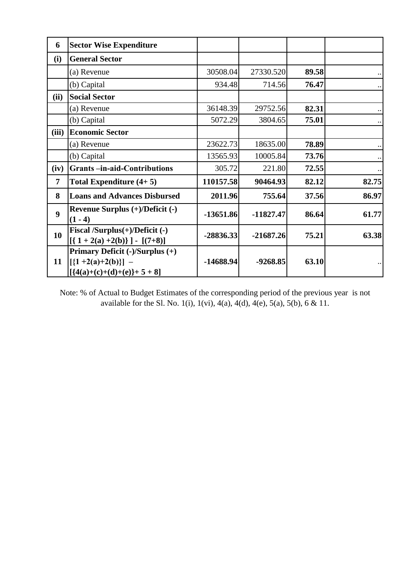| 6                | <b>Sector Wise Expenditure</b>                                                                         |             |             |       |           |
|------------------|--------------------------------------------------------------------------------------------------------|-------------|-------------|-------|-----------|
| (i)              | <b>General Sector</b>                                                                                  |             |             |       |           |
|                  | (a) Revenue                                                                                            | 30508.04    | 27330.520   | 89.58 |           |
|                  | (b) Capital                                                                                            | 934.48      | 714.56      | 76.47 |           |
| (ii)             | <b>Social Sector</b>                                                                                   |             |             |       |           |
|                  | (a) Revenue                                                                                            | 36148.39    | 29752.56    | 82.31 |           |
|                  | (b) Capital                                                                                            | 5072.29     | 3804.65     | 75.01 |           |
| (iii)            | <b>Economic Sector</b>                                                                                 |             |             |       |           |
|                  | (a) Revenue                                                                                            | 23622.73    | 18635.00    | 78.89 |           |
|                  | (b) Capital                                                                                            | 13565.93    | 10005.84    | 73.76 | $\ddotsc$ |
| (iv)             | <b>Grants-in-aid-Contributions</b>                                                                     | 305.72      | 221.80      | 72.55 | $\cdot$ . |
| $\overline{7}$   | Total Expenditure $(4+5)$                                                                              | 110157.58   | 90464.93    | 82.12 | 82.75     |
| 8                | <b>Loans and Advances Disbursed</b>                                                                    | 2011.96     | 755.64      | 37.56 | 86.97     |
| $\boldsymbol{9}$ | Revenue Surplus (+)/Deficit (-)<br>$(1 - 4)$                                                           | $-13651.86$ | $-11827.47$ | 86.64 | 61.77     |
| 10               | Fiscal /Surplus $(+)$ /Deficit $(-)$<br>$[{1 + 2(a) +2(b)}] - [(7+8)]$                                 | $-28836.33$ | $-21687.26$ | 75.21 | 63.38     |
| 11               | Primary Deficit (-)/Surplus (+)<br>$\left[ \{1 + 2(a) + 2(b)\}\right]$ –<br>$[{4(a)+(c)+(d)+(e)}+5+8]$ | $-14688.94$ | $-9268.85$  | 63.10 |           |

Note: % of Actual to Budget Estimates of the corresponding period of the previous year is not available for the Sl. No. 1(i), 1(vi), 4(a), 4(d), 4(e), 5(a), 5(b), 6 & 11.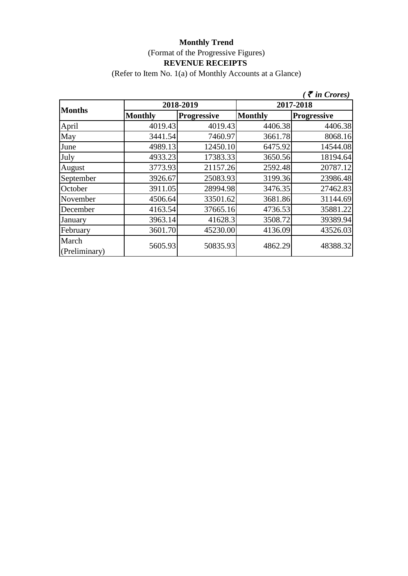(Refer to Item No. 1(a) of Monthly Accounts at a Glance)

|                        |                |                    |                | $\zeta$ $\bar{\zeta}$ in Crores) |
|------------------------|----------------|--------------------|----------------|----------------------------------|
|                        |                | 2018-2019          | 2017-2018      |                                  |
| <b>Months</b>          | <b>Monthly</b> | <b>Progressive</b> | <b>Monthly</b> | <b>Progressive</b>               |
| April                  | 4019.43        | 4019.43            | 4406.38        | 4406.38                          |
| May                    | 3441.54        | 7460.97            | 3661.78        | 8068.16                          |
| June                   | 4989.13        | 12450.10           | 6475.92        | 14544.08                         |
| July                   | 4933.23        | 17383.33           | 3650.56        | 18194.64                         |
| August                 | 3773.93        | 21157.26           | 2592.48        | 20787.12                         |
| September              | 3926.67        | 25083.93           | 3199.36        | 23986.48                         |
| October                | 3911.05        | 28994.98           | 3476.35        | 27462.83                         |
| November               | 4506.64        | 33501.62           | 3681.86        | 31144.69                         |
| December               | 4163.54        | 37665.16           | 4736.53        | 35881.22                         |
| January                | 3963.14        | 41628.3            | 3508.72        | 39389.94                         |
| February               | 3601.70        | 45230.00           | 4136.09        | 43526.03                         |
| March<br>(Preliminary) | 5605.93        | 50835.93           | 4862.29        | 48388.32                         |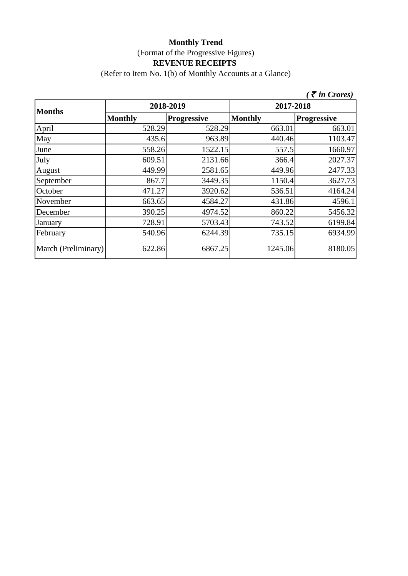(Refer to Item No. 1(b) of Monthly Accounts at a Glance)

|                     |                |                    |                | $\zeta$ $\bar{\zeta}$ in Crores) |  |
|---------------------|----------------|--------------------|----------------|----------------------------------|--|
| <b>Months</b>       |                | 2018-2019          | 2017-2018      |                                  |  |
|                     | <b>Monthly</b> | <b>Progressive</b> | <b>Monthly</b> | <b>Progressive</b>               |  |
| April               | 528.29         | 528.29             | 663.01         | 663.01                           |  |
| May                 | 435.6          | 963.89             | 440.46         | 1103.47                          |  |
| June                | 558.26         | 1522.15            | 557.5          | 1660.97                          |  |
| July                | 609.51         | 2131.66            | 366.4          | 2027.37                          |  |
| August              | 449.99         | 2581.65            | 449.96         | 2477.33                          |  |
| September           | 867.7          | 3449.35            | 1150.4         | 3627.73                          |  |
| October             | 471.27         | 3920.62            | 536.51         | 4164.24                          |  |
| November            | 663.65         | 4584.27            | 431.86         | 4596.1                           |  |
| December            | 390.25         | 4974.52            | 860.22         | 5456.32                          |  |
| January             | 728.91         | 5703.43            | 743.52         | 6199.84                          |  |
| February            | 540.96         | 6244.39            | 735.15         | 6934.99                          |  |
| March (Preliminary) | 622.86         | 6867.25            | 1245.06        | 8180.05                          |  |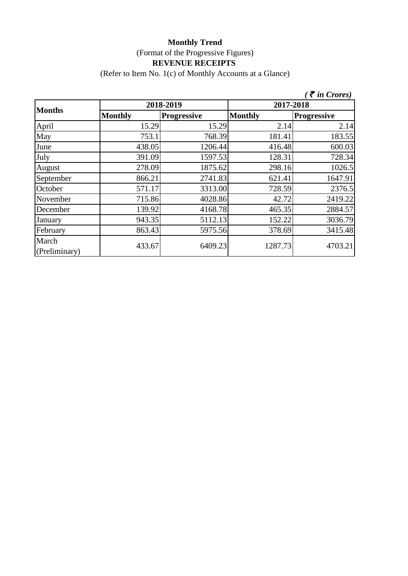(Refer to Item No. 1(c) of Monthly Accounts at a Glance)

|                        |                |                    |                | $\zeta$ $\bar{\zeta}$ in Crores) |  |
|------------------------|----------------|--------------------|----------------|----------------------------------|--|
|                        |                | 2018-2019          | 2017-2018      |                                  |  |
| <b>Months</b>          | <b>Monthly</b> | <b>Progressive</b> | <b>Monthly</b> | <b>Progressive</b>               |  |
| April                  | 15.29          | 15.29              | 2.14           | 2.14                             |  |
| May                    | 753.1          | 768.39             | 181.41         | 183.55                           |  |
| June                   | 438.05         | 1206.44            | 416.48         | 600.03                           |  |
| July                   | 391.09         | 1597.53            | 128.31         | 728.34                           |  |
| August                 | 278.09         | 1875.62            | 298.16         | 1026.5                           |  |
| September              | 866.21         | 2741.83            | 621.41         | 1647.91                          |  |
| October                | 571.17         | 3313.00            | 728.59         | 2376.5                           |  |
| November               | 715.86         | 4028.86            | 42.72          | 2419.22                          |  |
| December               | 139.92         | 4168.78            | 465.35         | 2884.57                          |  |
| January                | 943.35         | 5112.13            | 152.22         | 3036.79                          |  |
| February               | 863.43         | 5975.56            | 378.69         | 3415.48                          |  |
| March<br>(Preliminary) | 433.67         | 6409.23            | 1287.73        | 4703.21                          |  |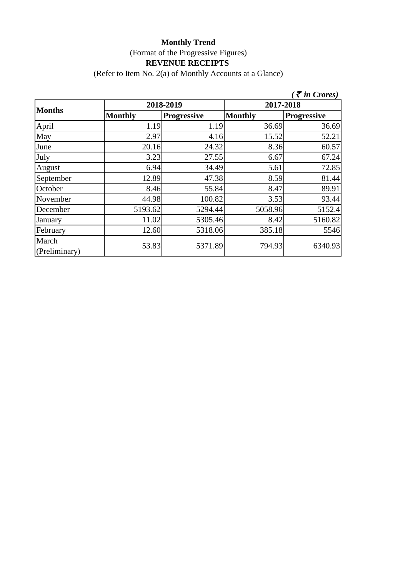(Refer to Item No. 2(a) of Monthly Accounts at a Glance)

|                        |                |                    |                | $\zeta$ $\bar{\zeta}$ in Crores) |  |
|------------------------|----------------|--------------------|----------------|----------------------------------|--|
|                        |                | 2018-2019          | 2017-2018      |                                  |  |
| <b>Months</b>          | <b>Monthly</b> | <b>Progressive</b> | <b>Monthly</b> | <b>Progressive</b>               |  |
| April                  | 1.19           | 1.19               | 36.69          | 36.69                            |  |
| May                    | 2.97           | 4.16               | 15.52          | 52.21                            |  |
| June                   | 20.16          | 24.32              | 8.36           | 60.57                            |  |
| July                   | 3.23           | 27.55              | 6.67           | 67.24                            |  |
| August                 | 6.94           | 34.49              | 5.61           | 72.85                            |  |
| September              | 12.89          | 47.38              | 8.59           | 81.44                            |  |
| October                | 8.46           | 55.84              | 8.47           | 89.91                            |  |
| November               | 44.98          | 100.82             | 3.53           | 93.44                            |  |
| December               | 5193.62        | 5294.44            | 5058.96        | 5152.4                           |  |
| January                | 11.02          | 5305.46            | 8.42           | 5160.82                          |  |
| February               | 12.60          | 5318.06            | 385.18         | 5546                             |  |
| March<br>(Preliminary) | 53.83          | 5371.89            | 794.93         | 6340.93                          |  |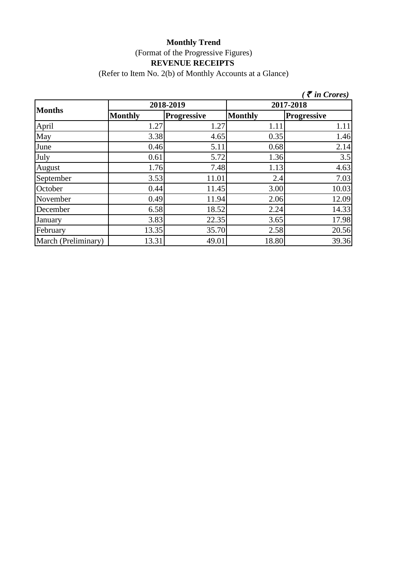(Refer to Item No. 2(b) of Monthly Accounts at a Glance)

|                     |                |                    |                | $\bar{\tau}$ in Crores) |  |
|---------------------|----------------|--------------------|----------------|-------------------------|--|
| <b>Months</b>       |                | 2018-2019          | 2017-2018      |                         |  |
|                     | <b>Monthly</b> | <b>Progressive</b> | <b>Monthly</b> | <b>Progressive</b>      |  |
| April               | 1.27           | 1.27               | 1.11           | 1.11                    |  |
| May                 | 3.38           | 4.65               | 0.35           | 1.46                    |  |
| June                | 0.46           | 5.11               | 0.68           | 2.14                    |  |
| July                | 0.61           | 5.72               | 1.36           | 3.5                     |  |
| August              | 1.76           | 7.48               | 1.13           | 4.63                    |  |
| September           | 3.53           | 11.01              | 2.4            | 7.03                    |  |
| October             | 0.44           | 11.45              | 3.00           | 10.03                   |  |
| November            | 0.49           | 11.94              | 2.06           | 12.09                   |  |
| December            | 6.58           | 18.52              | 2.24           | 14.33                   |  |
| January             | 3.83           | 22.35              | 3.65           | 17.98                   |  |
| February            | 13.35          | 35.70              | 2.58           | 20.56                   |  |
| March (Preliminary) | 13.31          | 49.01              | 18.80          | 39.36                   |  |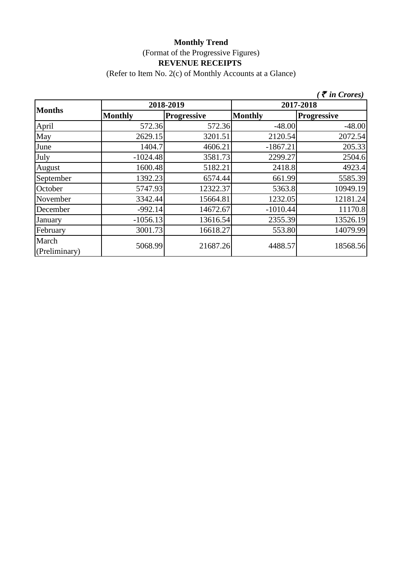(Refer to Item No. 2(c) of Monthly Accounts at a Glance)

|                        |                |                    |                | $\bar{\tau}$ in Crores) |  |
|------------------------|----------------|--------------------|----------------|-------------------------|--|
|                        |                | 2018-2019          | 2017-2018      |                         |  |
| <b>Months</b>          | <b>Monthly</b> | <b>Progressive</b> | <b>Monthly</b> | <b>Progressive</b>      |  |
| April                  | 572.36         | 572.36             | $-48.00$       | $-48.00$                |  |
| May                    | 2629.15        | 3201.51            | 2120.54        | 2072.54                 |  |
| June                   | 1404.7         | 4606.21            | $-1867.21$     | 205.33                  |  |
| July                   | $-1024.48$     | 3581.73            | 2299.27        | 2504.6                  |  |
| August                 | 1600.48        | 5182.21            | 2418.8         | 4923.4                  |  |
| September              | 1392.23        | 6574.44            | 661.99         | 5585.39                 |  |
| October                | 5747.93        | 12322.37           | 5363.8         | 10949.19                |  |
| November               | 3342.44        | 15664.81           | 1232.05        | 12181.24                |  |
| December               | $-992.14$      | 14672.67           | $-1010.44$     | 11170.8                 |  |
| January                | $-1056.13$     | 13616.54           | 2355.39        | 13526.19                |  |
| February               | 3001.73        | 16618.27           | 553.80         | 14079.99                |  |
| March<br>(Preliminary) | 5068.99        | 21687.26           | 4488.57        | 18568.56                |  |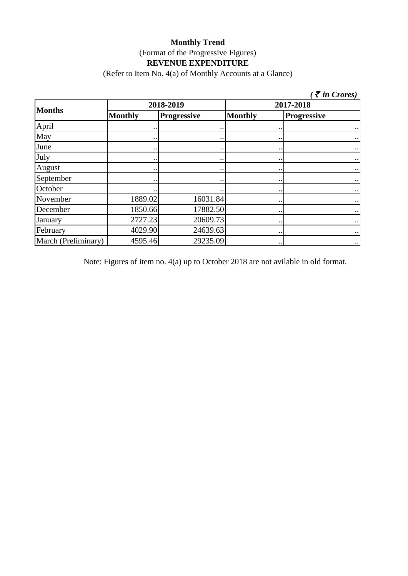(Refer to Item No. 4(a) of Monthly Accounts at a Glance)

| $\zeta$ <i>(† in Crores)</i> |                      |                    |                      |                      |  |
|------------------------------|----------------------|--------------------|----------------------|----------------------|--|
| <b>Months</b>                |                      | 2018-2019          | 2017-2018            |                      |  |
|                              | <b>Monthly</b>       | <b>Progressive</b> | <b>Monthly</b>       | <b>Progressive</b>   |  |
| April                        |                      |                    |                      |                      |  |
| May                          |                      |                    |                      |                      |  |
| June                         |                      |                    |                      |                      |  |
| July                         |                      | $\bullet$          |                      |                      |  |
| August                       | $\ddot{\phantom{0}}$ | $\cdot \cdot$      |                      | $\bullet\,\bullet$   |  |
| September                    | $\cdot \cdot$        | $\bullet$          |                      | $\bullet$ .          |  |
| October                      | $\ddot{\phantom{0}}$ |                    |                      | $\ddot{\phantom{0}}$ |  |
| November                     | 1889.02              | 16031.84           | $\cdot \cdot$        | $\bullet$ .          |  |
| December                     | 1850.66              | 17882.50           |                      | $\bullet$ .          |  |
| January                      | 2727.23              | 20609.73           | $\ddot{\phantom{0}}$ | $\bullet$ .          |  |
| February                     | 4029.90              | 24639.63           |                      | $\bullet$ .          |  |
| March (Preliminary)          | 4595.46              | 29235.09           | $\cdot \cdot$        | $\bullet$ .          |  |

Note: Figures of item no. 4(a) up to October 2018 are not avilable in old format.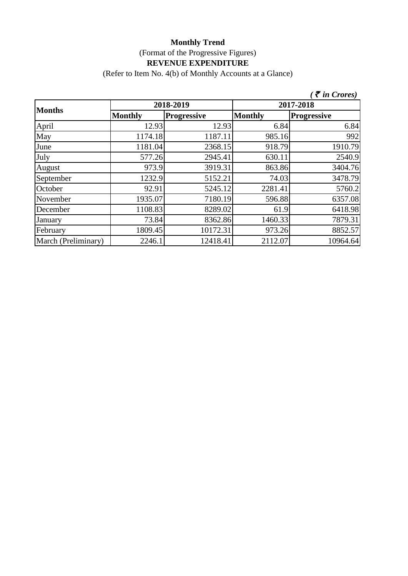(Refer to Item No. 4(b) of Monthly Accounts at a Glance)

|                     |                |                    |                | $\bar{\tau}$ in Crores) |  |
|---------------------|----------------|--------------------|----------------|-------------------------|--|
| <b>Months</b>       |                | 2018-2019          | 2017-2018      |                         |  |
|                     | <b>Monthly</b> | <b>Progressive</b> | <b>Monthly</b> | <b>Progressive</b>      |  |
| April               | 12.93          | 12.93              | 6.84           | 6.84                    |  |
| May                 | 1174.18        | 1187.11            | 985.16         | 992                     |  |
| June                | 1181.04        | 2368.15            | 918.79         | 1910.79                 |  |
| July                | 577.26         | 2945.41            | 630.11         | 2540.9                  |  |
| August              | 973.9          | 3919.31            | 863.86         | 3404.76                 |  |
| September           | 1232.9         | 5152.21            | 74.03          | 3478.79                 |  |
| October             | 92.91          | 5245.12            | 2281.41        | 5760.2                  |  |
| November            | 1935.07        | 7180.19            | 596.88         | 6357.08                 |  |
| December            | 1108.83        | 8289.02            | 61.9           | 6418.98                 |  |
| January             | 73.84          | 8362.86            | 1460.33        | 7879.31                 |  |
| February            | 1809.45        | 10172.31           | 973.26         | 8852.57                 |  |
| March (Preliminary) | 2246.1         | 12418.41           | 2112.07        | 10964.64                |  |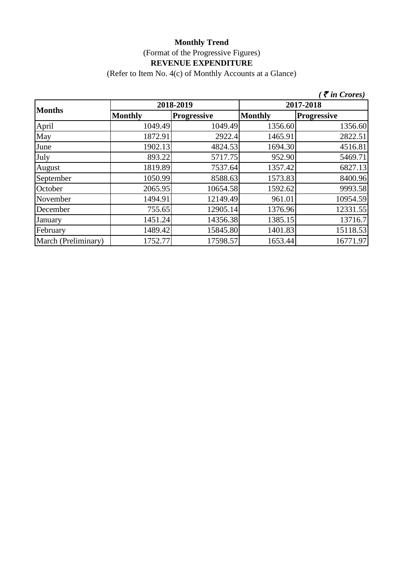(Refer to Item No. 4(c) of Monthly Accounts at a Glance)

|                     |                |                    |                | $\zeta$ $\bar{\zeta}$ in Crores) |
|---------------------|----------------|--------------------|----------------|----------------------------------|
| <b>Months</b>       |                | 2018-2019          |                | 2017-2018                        |
|                     | <b>Monthly</b> | <b>Progressive</b> | <b>Monthly</b> | <b>Progressive</b>               |
| April               | 1049.49        | 1049.49            | 1356.60        | 1356.60                          |
| May                 | 1872.91        | 2922.4             | 1465.91        | 2822.51                          |
| June                | 1902.13        | 4824.53            | 1694.30        | 4516.81                          |
| July                | 893.22         | 5717.75            | 952.90         | 5469.71                          |
| August              | 1819.89        | 7537.64            | 1357.42        | 6827.13                          |
| September           | 1050.99        | 8588.63            | 1573.83        | 8400.96                          |
| October             | 2065.95        | 10654.58           | 1592.62        | 9993.58                          |
| November            | 1494.91        | 12149.49           | 961.01         | 10954.59                         |
| December            | 755.65         | 12905.14           | 1376.96        | 12331.55                         |
| January             | 1451.24        | 14356.38           | 1385.15        | 13716.7                          |
| February            | 1489.42        | 15845.80           | 1401.83        | 15118.53                         |
| March (Preliminary) | 1752.77        | 17598.57           | 1653.44        | 16771.97                         |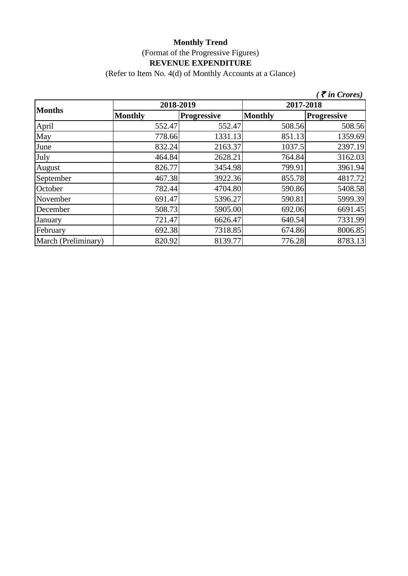(Refer to Item No. 4(d) of Monthly Accounts at a Glance)

|                     |                |                    |                | $\bar{\tau}$ in Crores) |
|---------------------|----------------|--------------------|----------------|-------------------------|
| <b>Months</b>       | 2018-2019      |                    | 2017-2018      |                         |
|                     | <b>Monthly</b> | <b>Progressive</b> | <b>Monthly</b> | <b>Progressive</b>      |
| April               | 552.47         | 552.47             | 508.56         | 508.56                  |
| May                 | 778.66         | 1331.13            | 851.13         | 1359.69                 |
| June                | 832.24         | 2163.37            | 1037.5         | 2397.19                 |
| July                | 464.84         | 2628.21            | 764.84         | 3162.03                 |
| August              | 826.77         | 3454.98            | 799.91         | 3961.94                 |
| September           | 467.38         | 3922.36            | 855.78         | 4817.72                 |
| October             | 782.44         | 4704.80            | 590.86         | 5408.58                 |
| November            | 691.47         | 5396.27            | 590.81         | 5999.39                 |
| December            | 508.73         | 5905.00            | 692.06         | 6691.45                 |
| January             | 721.47         | 6626.47            | 640.54         | 7331.99                 |
| February            | 692.38         | 7318.85            | 674.86         | 8006.85                 |
| March (Preliminary) | 820.92         | 8139.77            | 776.28         | 8783.13                 |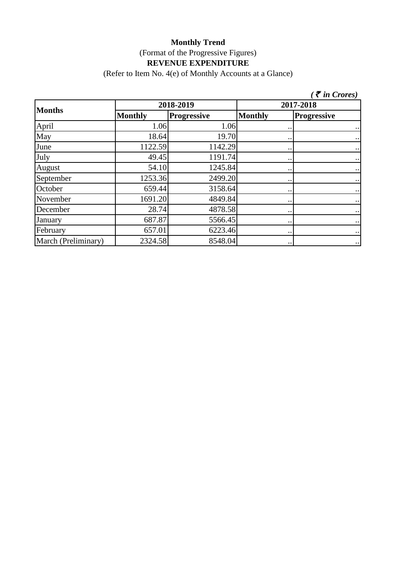(Refer to Item No. 4(e) of Monthly Accounts at a Glance)

|                     |                |                    |                | $\zeta \bar{\tau}$ in Crores) |
|---------------------|----------------|--------------------|----------------|-------------------------------|
| <b>Months</b>       | 2018-2019      |                    | 2017-2018      |                               |
|                     | <b>Monthly</b> | <b>Progressive</b> | <b>Monthly</b> | <b>Progressive</b>            |
| April               | 1.06           | 1.06               |                | $\bullet$ .                   |
| May                 | 18.64          | 19.70              | $\cdot$ .      | $\cdot$ .                     |
| June                | 1122.59        | 1142.29            | $\bullet$ .    | $\bullet$ .                   |
| July                | 49.45          | 1191.74            | $\cdot$ .      | $\cdot$ .                     |
| August              | 54.10          | 1245.84            | $\bullet$ .    | $\bullet$ .                   |
| September           | 1253.36        | 2499.20            | $\bullet$ .    | $\cdot$ .                     |
| October             | 659.44         | 3158.64            |                | $\bullet$ .                   |
| November            | 1691.20        | 4849.84            | $\cdot$ .      | $\cdot$ .                     |
| December            | 28.74          | 4878.58            | $\cdot$ .      | $\bullet$ $\bullet$           |
| January             | 687.87         | 5566.45            | $\cdot$ .      | $\cdot\cdot$                  |
| February            | 657.01         | 6223.46            | $\cdot$ .      | $\cdot$ .                     |
| March (Preliminary) | 2324.58        | 8548.04            | $\cdot$ .      | $\cdot \cdot$                 |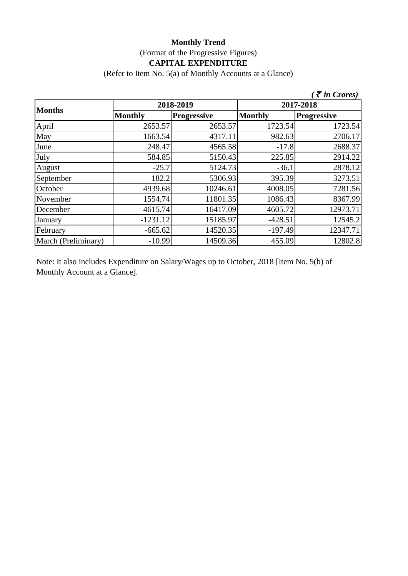# **Monthly Trend** (Format of the Progressive Figures) **CAPITAL EXPENDITURE**

(Refer to Item No. 5(a) of Monthly Accounts at a Glance)

|                     |                |                    |                | $\zeta$ <i>(† in Crores)</i> |
|---------------------|----------------|--------------------|----------------|------------------------------|
| <b>Months</b>       | 2018-2019      |                    | 2017-2018      |                              |
|                     | <b>Monthly</b> | <b>Progressive</b> | <b>Monthly</b> | <b>Progressive</b>           |
| April               | 2653.57        | 2653.57            | 1723.54        | 1723.54                      |
| May                 | 1663.54        | 4317.11            | 982.63         | 2706.17                      |
| June                | 248.47         | 4565.58            | $-17.8$        | 2688.37                      |
| July                | 584.85         | 5150.43            | 225.85         | 2914.22                      |
| August              | $-25.7$        | 5124.73            | $-36.1$        | 2878.12                      |
| September           | 182.2          | 5306.93            | 395.39         | 3273.51                      |
| October             | 4939.68        | 10246.61           | 4008.05        | 7281.56                      |
| November            | 1554.74        | 11801.35           | 1086.43        | 8367.99                      |
| December            | 4615.74        | 16417.09           | 4605.72        | 12973.71                     |
| January             | $-1231.12$     | 15185.97           | $-428.51$      | 12545.2                      |
| February            | $-665.62$      | 14520.35           | $-197.49$      | 12347.71                     |
| March (Preliminary) | $-10.99$       | 14509.36           | 455.09         | 12802.8                      |

Note: It also includes Expenditure on Salary/Wages up to October, 2018 [Item No. 5(b) of Monthly Account at a Glance].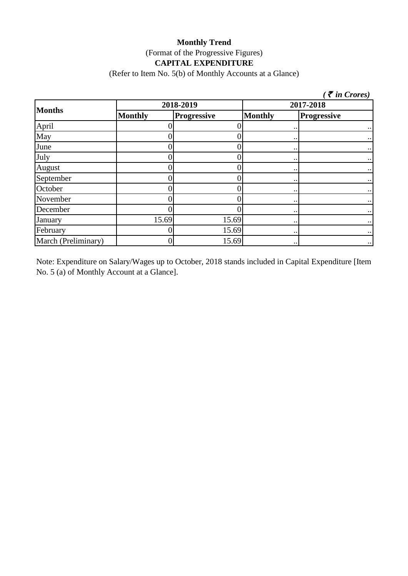# **Monthly Trend** (Format of the Progressive Figures) **CAPITAL EXPENDITURE**

(Refer to Item No. 5(b) of Monthly Accounts at a Glance)

|                     |                |                    |                      | $\zeta$ <i>( <math>\bar{\zeta}</math> in Crores)</i> |  |
|---------------------|----------------|--------------------|----------------------|------------------------------------------------------|--|
| <b>Months</b>       |                | 2018-2019          |                      | 2017-2018                                            |  |
|                     | <b>Monthly</b> | <b>Progressive</b> | <b>Monthly</b>       | <b>Progressive</b>                                   |  |
| April               |                |                    | $\ddot{\phantom{0}}$ |                                                      |  |
| May                 |                |                    | $\ddot{\phantom{0}}$ |                                                      |  |
| June                |                |                    | $\bullet$ .          |                                                      |  |
| July                | D              |                    |                      |                                                      |  |
| August              |                |                    | $\bullet$ .          |                                                      |  |
| September           | 0              |                    | $\bullet$ .          |                                                      |  |
| October             | 0              |                    | $\bullet$ .          |                                                      |  |
| November            | D              |                    | $\bullet\,\bullet$   |                                                      |  |
| December            |                |                    | $\bullet$ .          |                                                      |  |
| January             | 15.69          | 15.69              | $\ddot{\phantom{0}}$ |                                                      |  |
| February            |                | 15.69              | $\bullet\,\bullet$   |                                                      |  |
| March (Preliminary) | D              | 15.69              | $\ddot{\phantom{0}}$ |                                                      |  |

Note: Expenditure on Salary/Wages up to October, 2018 stands included in Capital Expenditure [Item No. 5 (a) of Monthly Account at a Glance].